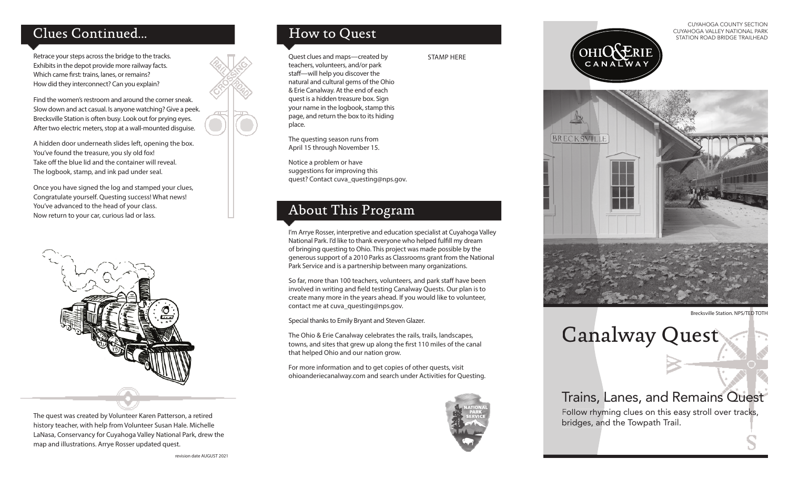# Clues Continued...

Retrace your steps across the bridge to the tracks. Exhibits in the depot provide more railway facts. Which came first: trains, lanes, or remains? How did they interconnect? Can you explain?

Find the women's restroom and around the corner sneak. Slow down and act casual. Is anyone watching? Give a peek. Brecksville Station is often busy. Look out for prying eyes. After two electric meters, stop at a wall-mounted disguise.

A hidden door underneath slides left, opening the box. You've found the treasure, you sly old fox! Take off the blue lid and the container will reveal. The logbook, stamp, and ink pad under seal.

Once you have signed the log and stamped your clues, Congratulate yourself. Questing success! What news! You've advanced to the head of your class. Now return to your car, curious lad or lass.



The quest was created by Volunteer Karen Patterson, a retired history teacher, with help from Volunteer Susan Hale. Michelle LaNasa, Conservancy for Cuyahoga Valley National Park, drew the map and illustrations. Arrye Rosser updated quest.

# How to Quest

Quest clues and maps—created by teachers, volunteers, and/or park staff-will help you discover the natural and cultural gems of the Ohio & Erie Canalway. At the end of each quest is a hidden treasure box. Sign your name in the logbook, stamp this page, and return the box to its hiding place.

The questing season runs from April 15 through November 15.

Notice a problem or have suggestions for improving this quest? Contact cuva\_questing@nps.gov.

# About This Program

I'm Arrye Rosser, interpretive and education specialist at Cuyahoga Valley National Park. I'd like to thank everyone who helped fulfill my dream of bringing questing to Ohio. This project was made possible by the generous support of a 2010 Parks as Classrooms grant from the National Park Service and is a partnership between many organizations.

STAMP HERE

So far, more than 100 teachers, volunteers, and park staff have been involved in writing and field testing Canalway Quests. Our plan is to create many more in the years ahead. If you would like to volunteer, contact me at cuva\_questing@nps.gov.

Special thanks to Emily Bryant and Steven Glazer.

The Ohio & Erie Canalway celebrates the rails, trails, landscapes, towns, and sites that grew up along the first 110 miles of the canal that helped Ohio and our nation grow.

For more information and to get copies of other quests, visit ohioanderiecanalway.com and search under Activities for Questing.



CUYAHOGA COUNTY SECTION CUYAHOGA VALLEY NATIONAL PARK STATION ROAD BRIDGE TRAILHEAD





Brecksville Station. NPS/TED TOTH

Canalway Quest

# Trains, Lanes, and Remains Quest

Follow rhyming clues on this easy stroll over tracks, bridges, and the Towpath Trail.